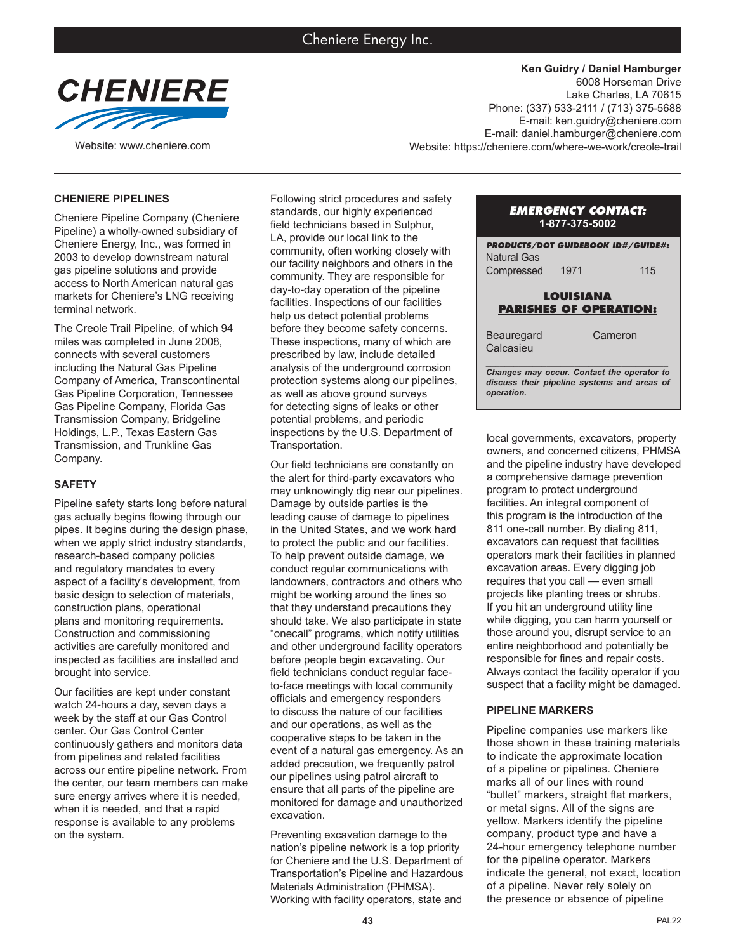

**Ken Guidry / Daniel Hamburger** 6008 Horseman Drive Lake Charles, LA 70615 Phone: (337) 533-2111 / (713) 375-5688 E-mail: ken.guidry@cheniere.com E-mail: daniel.hamburger@cheniere.com Website: www.cheniere.com Website: https://cheniere.com/where-we-work/creole-trail

### **CHENIERE PIPELINES**

Cheniere Pipeline Company (Cheniere Pipeline) a wholly-owned subsidiary of Cheniere Energy, Inc., was formed in 2003 to develop downstream natural gas pipeline solutions and provide access to North American natural gas markets for Cheniere's LNG receiving terminal network.

The Creole Trail Pipeline, of which 94 miles was completed in June 2008, connects with several customers including the Natural Gas Pipeline Company of America, Transcontinental Gas Pipeline Corporation, Tennessee Gas Pipeline Company, Florida Gas Transmission Company, Bridgeline Holdings, L.P., Texas Eastern Gas Transmission, and Trunkline Gas Company.

#### **SAFETY**

Pipeline safety starts long before natural gas actually begins flowing through our pipes. It begins during the design phase, when we apply strict industry standards, research-based company policies and regulatory mandates to every aspect of a facility's development, from basic design to selection of materials, construction plans, operational plans and monitoring requirements. Construction and commissioning activities are carefully monitored and inspected as facilities are installed and brought into service.

Our facilities are kept under constant watch 24-hours a day, seven days a week by the staff at our Gas Control center. Our Gas Control Center continuously gathers and monitors data from pipelines and related facilities across our entire pipeline network. From the center, our team members can make sure energy arrives where it is needed, when it is needed, and that a rapid response is available to any problems on the system.

Following strict procedures and safety standards, our highly experienced field technicians based in Sulphur, LA, provide our local link to the community, often working closely with our facility neighbors and others in the community. They are responsible for day-to-day operation of the pipeline facilities. Inspections of our facilities help us detect potential problems before they become safety concerns. These inspections, many of which are prescribed by law, include detailed analysis of the underground corrosion protection systems along our pipelines, as well as above ground surveys for detecting signs of leaks or other potential problems, and periodic inspections by the U.S. Department of Transportation.

Our field technicians are constantly on the alert for third-party excavators who may unknowingly dig near our pipelines. Damage by outside parties is the leading cause of damage to pipelines in the United States, and we work hard to protect the public and our facilities. To help prevent outside damage, we conduct regular communications with landowners, contractors and others who might be working around the lines so that they understand precautions they should take. We also participate in state "onecall" programs, which notify utilities and other underground facility operators before people begin excavating. Our field technicians conduct regular faceto-face meetings with local community officials and emergency responders to discuss the nature of our facilities and our operations, as well as the cooperative steps to be taken in the event of a natural gas emergency. As an added precaution, we frequently patrol our pipelines using patrol aircraft to ensure that all parts of the pipeline are monitored for damage and unauthorized excavation.

Preventing excavation damage to the nation's pipeline network is a top priority for Cheniere and the U.S. Department of Transportation's Pipeline and Hazardous Materials Administration (PHMSA). Working with facility operators, state and

## *EMERGENCY CONTACT:* **1-877-375-5002**

| <b>PRODUCTS/DOT GUIDEBOOK ID#/GUIDE#:</b><br>Natural Gas                                                |      |         |
|---------------------------------------------------------------------------------------------------------|------|---------|
| Compressed                                                                                              | 1971 | 115     |
| LOUISIANA                                                                                               |      |         |
| <b>PARISHES OF OPERATION:</b>                                                                           |      |         |
| Beauregard<br>Calcasieu                                                                                 |      | Cameron |
| Changes may occur. Contact the operator to<br>discuss their pipeline systems and areas of<br>operation. |      |         |

local governments, excavators, property owners, and concerned citizens, PHMSA and the pipeline industry have developed a comprehensive damage prevention program to protect underground facilities. An integral component of this program is the introduction of the 811 one-call number. By dialing 811, excavators can request that facilities operators mark their facilities in planned excavation areas. Every digging job requires that you call — even small projects like planting trees or shrubs. If you hit an underground utility line while digging, you can harm yourself or those around you, disrupt service to an entire neighborhood and potentially be responsible for fines and repair costs. Always contact the facility operator if you suspect that a facility might be damaged.

### **PIPELINE MARKERS**

Pipeline companies use markers like those shown in these training materials to indicate the approximate location of a pipeline or pipelines. Cheniere marks all of our lines with round "bullet" markers, straight flat markers, or metal signs. All of the signs are yellow. Markers identify the pipeline company, product type and have a 24-hour emergency telephone number for the pipeline operator. Markers indicate the general, not exact, location of a pipeline. Never rely solely on the presence or absence of pipeline